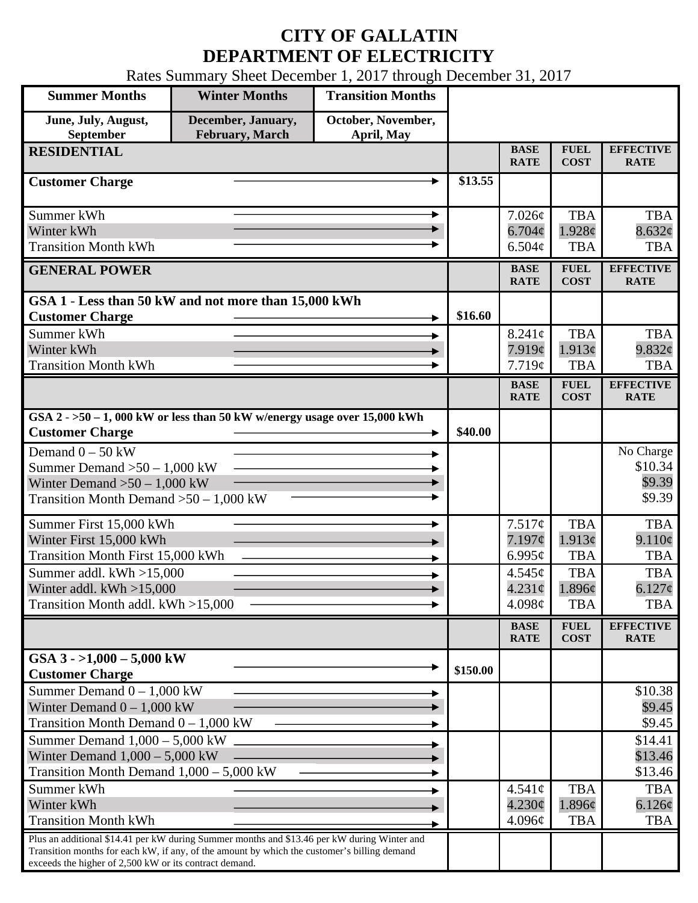## **CITY OF GALLATIN DEPARTMENT OF ELECTRICITY**

Rates Summary Sheet December 1, 2017 through December 31, 2017

| <b>Summer Months</b>                                                                                                                                                                                                                                 | <b>Winter Months</b>                          | <b>Transition Months</b>         |          |                            |                            |                                 |
|------------------------------------------------------------------------------------------------------------------------------------------------------------------------------------------------------------------------------------------------------|-----------------------------------------------|----------------------------------|----------|----------------------------|----------------------------|---------------------------------|
| June, July, August,<br>September                                                                                                                                                                                                                     | December, January,<br><b>February</b> , March | October, November,<br>April, May |          |                            |                            |                                 |
| <b>RESIDENTIAL</b>                                                                                                                                                                                                                                   |                                               |                                  |          | <b>BASE</b><br><b>RATE</b> | <b>FUEL</b><br><b>COST</b> | <b>EFFECTIVE</b><br><b>RATE</b> |
| <b>Customer Charge</b>                                                                                                                                                                                                                               |                                               |                                  | \$13.55  |                            |                            |                                 |
| Summer kWh                                                                                                                                                                                                                                           |                                               |                                  |          | 7.026¢                     | <b>TBA</b>                 | <b>TBA</b>                      |
| Winter kWh                                                                                                                                                                                                                                           |                                               |                                  |          | $6.704\phi$                | 1.928c                     | 8.632¢                          |
| <b>Transition Month kWh</b>                                                                                                                                                                                                                          |                                               |                                  |          | $6.504\mathcal{C}$         | <b>TBA</b>                 | <b>TBA</b>                      |
| <b>GENERAL POWER</b>                                                                                                                                                                                                                                 |                                               |                                  |          | <b>BASE</b><br><b>RATE</b> | <b>FUEL</b><br><b>COST</b> | <b>EFFECTIVE</b><br><b>RATE</b> |
| GSA 1 - Less than 50 kW and not more than 15,000 kWh                                                                                                                                                                                                 |                                               |                                  |          |                            |                            |                                 |
| <b>Customer Charge</b>                                                                                                                                                                                                                               |                                               |                                  | \$16.60  |                            |                            |                                 |
| Summer kWh<br>Winter kWh                                                                                                                                                                                                                             |                                               |                                  |          | $8.241\phi$<br>7.919¢      | <b>TBA</b><br>1.913¢       | <b>TBA</b><br>9.832¢            |
| <b>Transition Month kWh</b>                                                                                                                                                                                                                          |                                               |                                  |          | 7.719¢                     | <b>TBA</b>                 | <b>TBA</b>                      |
|                                                                                                                                                                                                                                                      |                                               |                                  |          | <b>BASE</b><br><b>RATE</b> | <b>FUEL</b><br><b>COST</b> | <b>EFFECTIVE</b><br><b>RATE</b> |
| GSA $2 - 50 - 1$ , 000 kW or less than 50 kW w/energy usage over 15,000 kWh                                                                                                                                                                          |                                               |                                  |          |                            |                            |                                 |
| <b>Customer Charge</b>                                                                                                                                                                                                                               |                                               |                                  | \$40.00  |                            |                            |                                 |
| Demand $0 - 50$ kW                                                                                                                                                                                                                                   |                                               |                                  |          |                            |                            | No Charge                       |
| Summer Demand $>50 - 1,000$ kW                                                                                                                                                                                                                       |                                               |                                  |          |                            |                            | \$10.34                         |
| Winter Demand $>50 - 1,000$ kW<br>Transition Month Demand $>50-1,000$ kW                                                                                                                                                                             |                                               |                                  |          |                            |                            | \$9.39<br>\$9.39                |
|                                                                                                                                                                                                                                                      |                                               |                                  |          |                            |                            |                                 |
| Summer First 15,000 kWh                                                                                                                                                                                                                              |                                               |                                  |          | 7.517¢                     | <b>TBA</b>                 | <b>TBA</b>                      |
| Winter First 15,000 kWh                                                                                                                                                                                                                              |                                               |                                  |          | 7.197¢                     | 1.913¢                     | 9.110¢                          |
| <b>Transition Month First 15,000 kWh</b><br>Summer addl. kWh >15,000                                                                                                                                                                                 |                                               |                                  |          | $6.995\mathcal{c}$         | <b>TBA</b><br><b>TBA</b>   | <b>TBA</b><br><b>TBA</b>        |
| Winter addl. $kWh > 15,000$                                                                                                                                                                                                                          |                                               |                                  |          | 4.545¢<br>$4.231\circ$     | 1.896¢                     | $6.127\phi$                     |
| Transition Month addl. kWh >15,000                                                                                                                                                                                                                   |                                               |                                  |          | 4.098¢                     | <b>TBA</b>                 | <b>TBA</b>                      |
|                                                                                                                                                                                                                                                      |                                               |                                  |          | <b>BASE</b>                | <b>FUEL</b>                | <b>EFFECTIVE</b>                |
|                                                                                                                                                                                                                                                      |                                               |                                  |          | <b>RATE</b>                | <b>COST</b>                | <b>RATE</b>                     |
| GSA $3 - 1,000 - 5,000$ kW<br><b>Customer Charge</b>                                                                                                                                                                                                 |                                               |                                  | \$150.00 |                            |                            |                                 |
| Summer Demand $0 - 1,000$ kW                                                                                                                                                                                                                         |                                               |                                  |          |                            |                            | \$10.38                         |
| Winter Demand $0 - 1,000$ kW                                                                                                                                                                                                                         |                                               |                                  |          |                            |                            | \$9.45                          |
| Transition Month Demand $0 - 1,000$ kW                                                                                                                                                                                                               |                                               |                                  |          |                            |                            | \$9.45                          |
| Summer Demand $1,000 - 5,000$ kW<br>Winter Demand $1,000 - 5,000$ kW                                                                                                                                                                                 |                                               |                                  |          |                            |                            | \$14.41<br>\$13.46              |
| Transition Month Demand 1,000 - 5,000 kW                                                                                                                                                                                                             |                                               |                                  |          |                            |                            | \$13.46                         |
| Summer kWh                                                                                                                                                                                                                                           |                                               |                                  |          | $4.541\circ$               | <b>TBA</b>                 | <b>TBA</b>                      |
| Winter kWh                                                                                                                                                                                                                                           |                                               |                                  |          | $4.230\phi$                | 1.896¢                     | 6.126¢                          |
| <b>Transition Month kWh</b>                                                                                                                                                                                                                          |                                               |                                  |          | 4.096¢                     | <b>TBA</b>                 | <b>TBA</b>                      |
| Plus an additional \$14.41 per kW during Summer months and \$13.46 per kW during Winter and<br>Transition months for each kW, if any, of the amount by which the customer's billing demand<br>exceeds the higher of 2,500 kW or its contract demand. |                                               |                                  |          |                            |                            |                                 |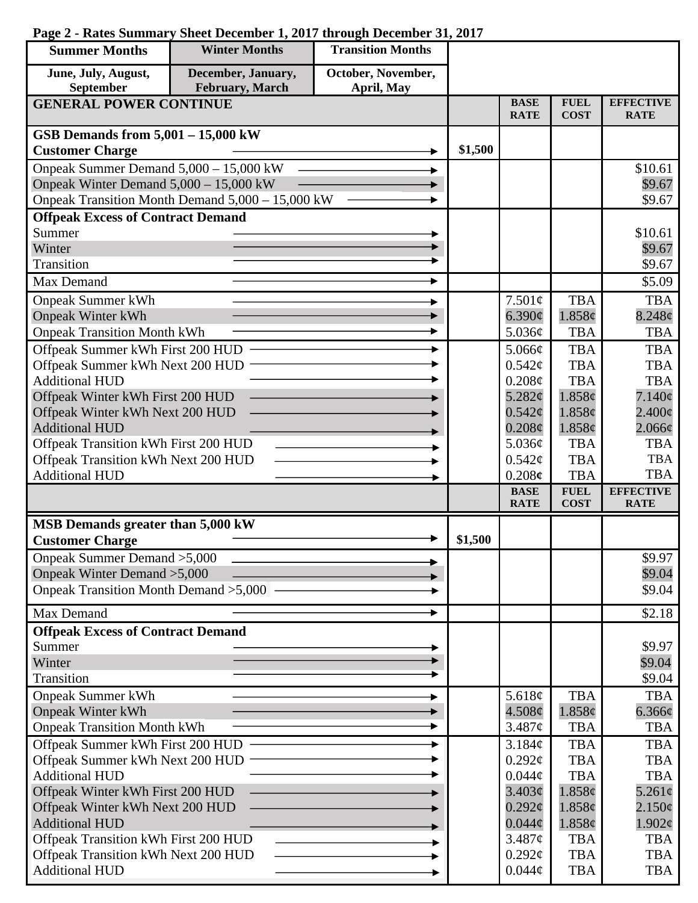## **Page 2 - Rates Summary Sheet December 1, 2017 through December 31, 2017**

| <b>Summer Months</b>                                                | <b>Winter Months</b>                             | <b>Transition Months</b> |         |                            |                            |                                 |
|---------------------------------------------------------------------|--------------------------------------------------|--------------------------|---------|----------------------------|----------------------------|---------------------------------|
| June, July, August,                                                 | December, January,                               | October, November,       |         |                            |                            |                                 |
| September                                                           | February, March                                  | April, May               |         |                            |                            |                                 |
| <b>GENERAL POWER CONTINUE</b>                                       |                                                  |                          |         | <b>BASE</b><br><b>RATE</b> | <b>FUEL</b><br><b>COST</b> | <b>EFFECTIVE</b><br><b>RATE</b> |
| GSB Demands from 5,001 - 15,000 kW                                  |                                                  |                          |         |                            |                            |                                 |
| <b>Customer Charge</b>                                              |                                                  |                          | \$1,500 |                            |                            |                                 |
| Onpeak Summer Demand 5,000 - 15,000 kW                              |                                                  |                          |         |                            |                            | \$10.61                         |
| Onpeak Winter Demand 5,000 - 15,000 kW                              |                                                  |                          |         |                            |                            | \$9.67                          |
|                                                                     | Onpeak Transition Month Demand 5,000 - 15,000 kW |                          |         |                            |                            | \$9.67                          |
| <b>Offpeak Excess of Contract Demand</b>                            |                                                  |                          |         |                            |                            |                                 |
| Summer                                                              |                                                  |                          |         |                            |                            | \$10.61                         |
| Winter                                                              |                                                  |                          |         |                            |                            | \$9.67                          |
| Transition                                                          |                                                  |                          |         |                            |                            | \$9.67                          |
| Max Demand                                                          |                                                  |                          |         |                            |                            | \$5.09                          |
| <b>Onpeak Summer kWh</b>                                            |                                                  |                          |         | 7.501¢                     | <b>TBA</b>                 | <b>TBA</b>                      |
| <b>Onpeak Winter kWh</b>                                            |                                                  |                          |         | 6.390¢                     | 1.858¢                     | $8.248\phi$                     |
| <b>Onpeak Transition Month kWh</b>                                  |                                                  |                          |         | 5.036¢                     | <b>TBA</b>                 | <b>TBA</b>                      |
| Offpeak Summer kWh First 200 HUD                                    |                                                  |                          |         | 5.066¢                     | <b>TBA</b>                 | <b>TBA</b>                      |
| Offpeak Summer kWh Next 200 HUD                                     |                                                  |                          |         | $0.542\mathcal{C}$         | <b>TBA</b>                 | <b>TBA</b>                      |
| <b>Additional HUD</b><br>Offpeak Winter kWh First 200 HUD           |                                                  |                          |         | 0.208¢<br>5.282¢           | <b>TBA</b><br>1.858c       | <b>TBA</b><br>$7.140\phi$       |
| Offpeak Winter kWh Next 200 HUD                                     |                                                  |                          |         | $0.542\mathcal{C}$         | 1.858c                     | $2.400\epsilon$                 |
| <b>Additional HUD</b>                                               |                                                  |                          |         | $0.208\phi$                | 1.858¢                     | $2.066\phi$                     |
| Offpeak Transition kWh First 200 HUD                                |                                                  |                          |         | 5.036¢                     | <b>TBA</b>                 | <b>TBA</b>                      |
| Offpeak Transition kWh Next 200 HUD                                 |                                                  |                          |         | $0.542\mathcal{C}$         | <b>TBA</b>                 | <b>TBA</b>                      |
| <b>Additional HUD</b>                                               |                                                  |                          |         | 0.208c                     | <b>TBA</b>                 | <b>TBA</b>                      |
|                                                                     |                                                  |                          |         | <b>BASE</b><br><b>RATE</b> | <b>FUEL</b><br><b>COST</b> | <b>EFFECTIVE</b><br><b>RATE</b> |
| MSB Demands greater than 5,000 kW                                   |                                                  |                          |         |                            |                            |                                 |
| <b>Customer Charge</b>                                              |                                                  |                          | \$1,500 |                            |                            |                                 |
| Onpeak Summer Demand > 5,000                                        |                                                  |                          |         |                            |                            | \$9.97                          |
| Onpeak Winter Demand > 5,000                                        |                                                  |                          |         |                            |                            | \$9.04                          |
| Onpeak Transition Month Demand > 5,000 –                            |                                                  |                          |         |                            |                            | \$9.04                          |
| Max Demand                                                          |                                                  |                          |         |                            |                            | \$2.18                          |
| <b>Offpeak Excess of Contract Demand</b>                            |                                                  |                          |         |                            |                            |                                 |
| Summer                                                              |                                                  |                          |         |                            |                            | \$9.97                          |
| Winter                                                              |                                                  |                          |         |                            |                            | \$9.04                          |
| Transition                                                          |                                                  |                          |         |                            |                            | \$9.04                          |
| <b>Onpeak Summer kWh</b>                                            |                                                  |                          |         | 5.618 $\phi$               | <b>TBA</b>                 | <b>TBA</b>                      |
| <b>Onpeak Winter kWh</b>                                            |                                                  |                          |         | $4.508\phi$                | 1.858¢                     | $6.366\phi$                     |
| <b>Onpeak Transition Month kWh</b>                                  |                                                  |                          |         | 3.487¢                     | <b>TBA</b>                 | TBA                             |
| Offpeak Summer kWh First 200 HUD -                                  |                                                  |                          |         | 3.184¢                     | <b>TBA</b>                 | <b>TBA</b>                      |
| Offpeak Summer kWh Next 200 HUD                                     |                                                  |                          |         | $0.292\mathcal{C}$         | <b>TBA</b>                 | <b>TBA</b>                      |
| <b>Additional HUD</b>                                               |                                                  |                          |         | $0.044\phi$                | <b>TBA</b>                 | <b>TBA</b>                      |
| Offpeak Winter kWh First 200 HUD<br>Offpeak Winter kWh Next 200 HUD |                                                  |                          |         | 3.403¢<br>$0.292\ell$      | 1.858c<br>1.858¢           | $5.261\ell$<br>$2.150\epsilon$  |
| <b>Additional HUD</b>                                               |                                                  |                          |         | $0.044\phi$                | $1.858\phi$                | $1.902\epsilon$                 |
| Offpeak Transition kWh First 200 HUD                                |                                                  |                          |         | 3.487¢                     | <b>TBA</b>                 | <b>TBA</b>                      |
| Offpeak Transition kWh Next 200 HUD                                 |                                                  |                          |         | $0.292\ell$                | <b>TBA</b>                 | <b>TBA</b>                      |
| <b>Additional HUD</b>                                               |                                                  |                          |         | $0.044\phi$                | <b>TBA</b>                 | <b>TBA</b>                      |